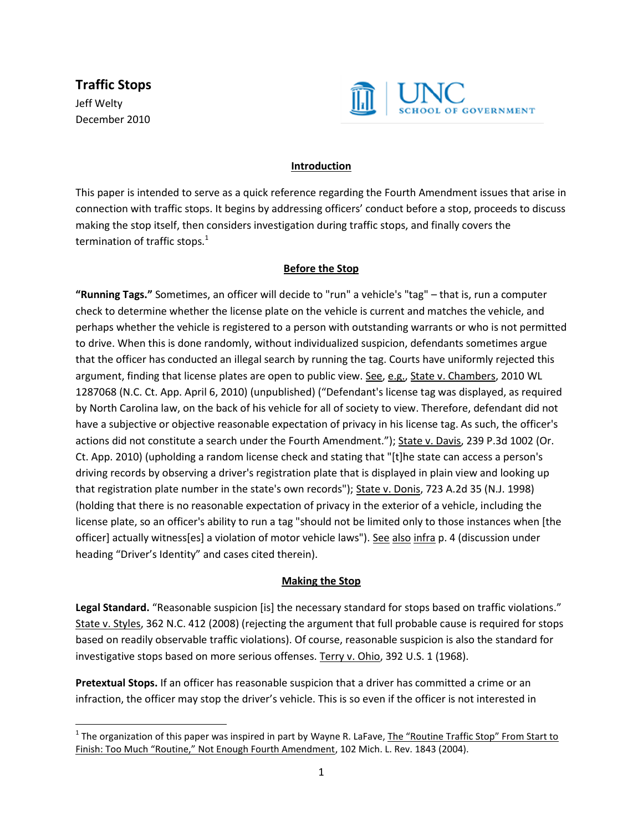**Traffic Stops** Jeff Welty December 2010

l



## **Introduction**

This paper is intended to serve as a quick reference regarding the Fourth Amendment issues that arise in connection with traffic stops. It begins by addressing officers' conduct before a stop, proceeds to discuss making the stop itself, then considers investigation during traffic stops, and finally covers the termination of traffic stops. $<sup>1</sup>$ </sup>

## **Before the Stop**

**"Running Tags."** Sometimes, an officer will decide to "run" a vehicle's "tag" – that is, run a computer check to determine whether the license plate on the vehicle is current and matches the vehicle, and perhaps whether the vehicle is registered to a person with outstanding warrants or who is not permitted to drive. When this is done randomly, without individualized suspicion, defendants sometimes argue that the officer has conducted an illegal search by running the tag. Courts have uniformly rejected this argument, finding that license plates are open to public view. See, e.g., State v. Chambers, 2010 WL 1287068 (N.C. Ct. App. April 6, 2010) (unpublished) ("Defendant's license tag was displayed, as required by North Carolina law, on the back of his vehicle for all of society to view. Therefore, defendant did not have a subjective or objective reasonable expectation of privacy in his license tag. As such, the officer's actions did not constitute a search under the Fourth Amendment."); State v. Davis, 239 P.3d 1002 (Or. Ct. App. 2010) (upholding a random license check and stating that "[t]he state can access a person's driving records by observing a driver's registration plate that is displayed in plain view and looking up that registration plate number in the state's own records"); State v. Donis, 723 A.2d 35 (N.J. 1998) (holding that there is no reasonable expectation of privacy in the exterior of a vehicle, including the license plate, so an officer's ability to run a tag "should not be limited only to those instances when [the officer] actually witness[es] a violation of motor vehicle laws"). See also infra p. 4 (discussion under heading "Driver's Identity" and cases cited therein).

### **Making the Stop**

**Legal Standard.** "Reasonable suspicion [is] the necessary standard for stops based on traffic violations." State v. Styles, 362 N.C. 412 (2008) (rejecting the argument that full probable cause is required for stops based on readily observable traffic violations). Of course, reasonable suspicion is also the standard for investigative stops based on more serious offenses. Terry v. Ohio, 392 U.S. 1 (1968).

**Pretextual Stops.** If an officer has reasonable suspicion that a driver has committed a crime or an infraction, the officer may stop the driver's vehicle. This is so even if the officer is not interested in

<sup>&</sup>lt;sup>1</sup> The organization of this paper was inspired in part by Wayne R. LaFave, <u>The "Routine Traffic Stop" From Start to</u> Finish: Too Much "Routine," Not Enough Fourth Amendment, 102 Mich. L. Rev. 1843 (2004).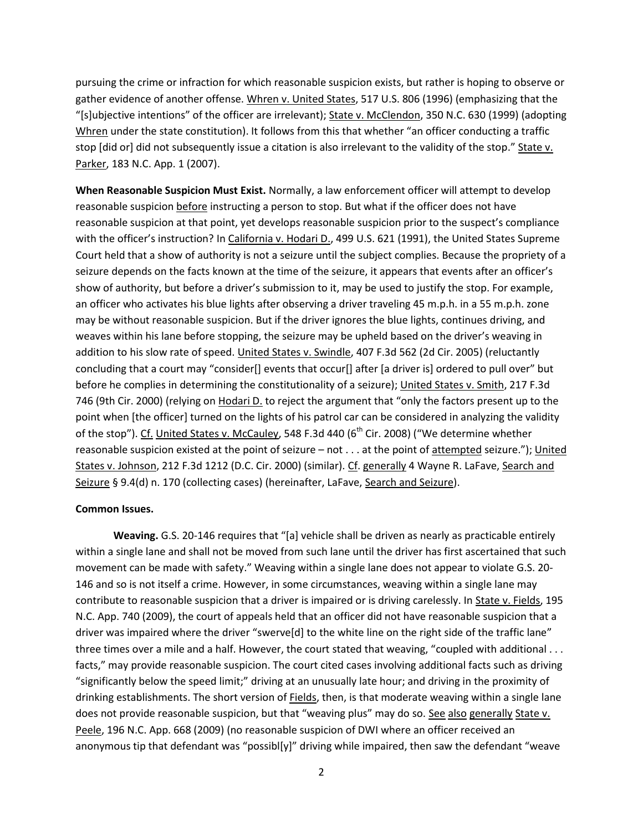pursuing the crime or infraction for which reasonable suspicion exists, but rather is hoping to observe or gather evidence of another offense. Whren v. United States, 517 U.S. 806 (1996) (emphasizing that the "[s]ubjective intentions" of the officer are irrelevant); State v. McClendon, 350 N.C. 630 (1999) (adopting Whren under the state constitution). It follows from this that whether "an officer conducting a traffic stop [did or] did not subsequently issue a citation is also irrelevant to the validity of the stop." State v. Parker, 183 N.C. App. 1 (2007).

**When Reasonable Suspicion Must Exist.** Normally, a law enforcement officer will attempt to develop reasonable suspicion before instructing a person to stop. But what if the officer does not have reasonable suspicion at that point, yet develops reasonable suspicion prior to the suspect's compliance with the officer's instruction? In California v. Hodari D., 499 U.S. 621 (1991), the United States Supreme Court held that a show of authority is not a seizure until the subject complies. Because the propriety of a seizure depends on the facts known at the time of the seizure, it appears that events after an officer's show of authority, but before a driver's submission to it, may be used to justify the stop. For example, an officer who activates his blue lights after observing a driver traveling 45 m.p.h. in a 55 m.p.h. zone may be without reasonable suspicion. But if the driver ignores the blue lights, continues driving, and weaves within his lane before stopping, the seizure may be upheld based on the driver's weaving in addition to his slow rate of speed. United States v. Swindle, 407 F.3d 562 (2d Cir. 2005) (reluctantly concluding that a court may "consider[] events that occur[] after [a driver is] ordered to pull over" but before he complies in determining the constitutionality of a seizure); United States v. Smith, 217 F.3d 746 (9th Cir. 2000) (relying on Hodari D. to reject the argument that "only the factors present up to the point when [the officer] turned on the lights of his patrol car can be considered in analyzing the validity of the stop"). Cf. United States v. McCauley, 548 F.3d 440 (6<sup>th</sup> Cir. 2008) ("We determine whether reasonable suspicion existed at the point of seizure – not . . . at the point of attempted seizure."); United States v. Johnson, 212 F.3d 1212 (D.C. Cir. 2000) (similar). Cf. generally 4 Wayne R. LaFave, Search and Seizure § 9.4(d) n. 170 (collecting cases) (hereinafter, LaFave, Search and Seizure).

#### **Common Issues.**

**Weaving.** G.S. 20-146 requires that "[a] vehicle shall be driven as nearly as practicable entirely within a single lane and shall not be moved from such lane until the driver has first ascertained that such movement can be made with safety." Weaving within a single lane does not appear to violate G.S. 20- 146 and so is not itself a crime. However, in some circumstances, weaving within a single lane may contribute to reasonable suspicion that a driver is impaired or is driving carelessly. In State v. Fields, 195 N.C. App. 740 (2009), the court of appeals held that an officer did not have reasonable suspicion that a driver was impaired where the driver "swerve[d] to the white line on the right side of the traffic lane" three times over a mile and a half. However, the court stated that weaving, "coupled with additional . . . facts," may provide reasonable suspicion. The court cited cases involving additional facts such as driving "significantly below the speed limit;" driving at an unusually late hour; and driving in the proximity of drinking establishments. The short version of Fields, then, is that moderate weaving within a single lane does not provide reasonable suspicion, but that "weaving plus" may do so. See also generally State v. Peele, 196 N.C. App. 668 (2009) (no reasonable suspicion of DWI where an officer received an anonymous tip that defendant was "possibl[y]" driving while impaired, then saw the defendant "weave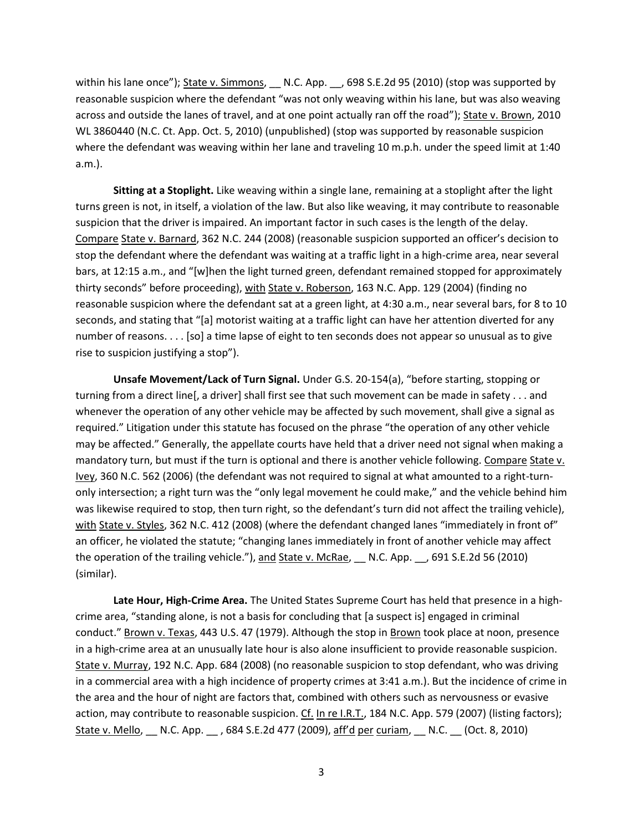within his lane once"); State v. Simmons, N.C. App. 698 S.E.2d 95 (2010) (stop was supported by reasonable suspicion where the defendant "was not only weaving within his lane, but was also weaving across and outside the lanes of travel, and at one point actually ran off the road"); State v. Brown, 2010 WL 3860440 (N.C. Ct. App. Oct. 5, 2010) (unpublished) (stop was supported by reasonable suspicion where the defendant was weaving within her lane and traveling 10 m.p.h. under the speed limit at 1:40 a.m.).

**Sitting at a Stoplight.** Like weaving within a single lane, remaining at a stoplight after the light turns green is not, in itself, a violation of the law. But also like weaving, it may contribute to reasonable suspicion that the driver is impaired. An important factor in such cases is the length of the delay. Compare State v. Barnard, 362 N.C. 244 (2008) (reasonable suspicion supported an officer's decision to stop the defendant where the defendant was waiting at a traffic light in a high-crime area, near several bars, at 12:15 a.m., and "[w]hen the light turned green, defendant remained stopped for approximately thirty seconds" before proceeding), with State v. Roberson, 163 N.C. App. 129 (2004) (finding no reasonable suspicion where the defendant sat at a green light, at 4:30 a.m., near several bars, for 8 to 10 seconds, and stating that "[a] motorist waiting at a traffic light can have her attention diverted for any number of reasons. . . . [so] a time lapse of eight to ten seconds does not appear so unusual as to give rise to suspicion justifying a stop").

**Unsafe Movement/Lack of Turn Signal.** Under G.S. 20-154(a), "before starting, stopping or turning from a direct line[, a driver] shall first see that such movement can be made in safety . . . and whenever the operation of any other vehicle may be affected by such movement, shall give a signal as required." Litigation under this statute has focused on the phrase "the operation of any other vehicle may be affected." Generally, the appellate courts have held that a driver need not signal when making a mandatory turn, but must if the turn is optional and there is another vehicle following. Compare State v. Ivey, 360 N.C. 562 (2006) (the defendant was not required to signal at what amounted to a right-turnonly intersection; a right turn was the "only legal movement he could make," and the vehicle behind him was likewise required to stop, then turn right, so the defendant's turn did not affect the trailing vehicle), with State v. Styles, 362 N.C. 412 (2008) (where the defendant changed lanes "immediately in front of" an officer, he violated the statute; "changing lanes immediately in front of another vehicle may affect the operation of the trailing vehicle."), and State v. McRae, N.C. App. 691 S.E.2d 56 (2010) (similar).

**Late Hour, High-Crime Area.** The United States Supreme Court has held that presence in a highcrime area, "standing alone, is not a basis for concluding that [a suspect is] engaged in criminal conduct." Brown v. Texas, 443 U.S. 47 (1979). Although the stop in Brown took place at noon, presence in a high-crime area at an unusually late hour is also alone insufficient to provide reasonable suspicion. State v. Murray, 192 N.C. App. 684 (2008) (no reasonable suspicion to stop defendant, who was driving in a commercial area with a high incidence of property crimes at 3:41 a.m.). But the incidence of crime in the area and the hour of night are factors that, combined with others such as nervousness or evasive action, may contribute to reasonable suspicion. Cf. In re I.R.T., 184 N.C. App. 579 (2007) (listing factors); State v. Mello, \_\_ N.C. App. \_\_ , 684 S.E.2d 477 (2009), aff'd per curiam, \_\_ N.C. \_\_ (Oct. 8, 2010)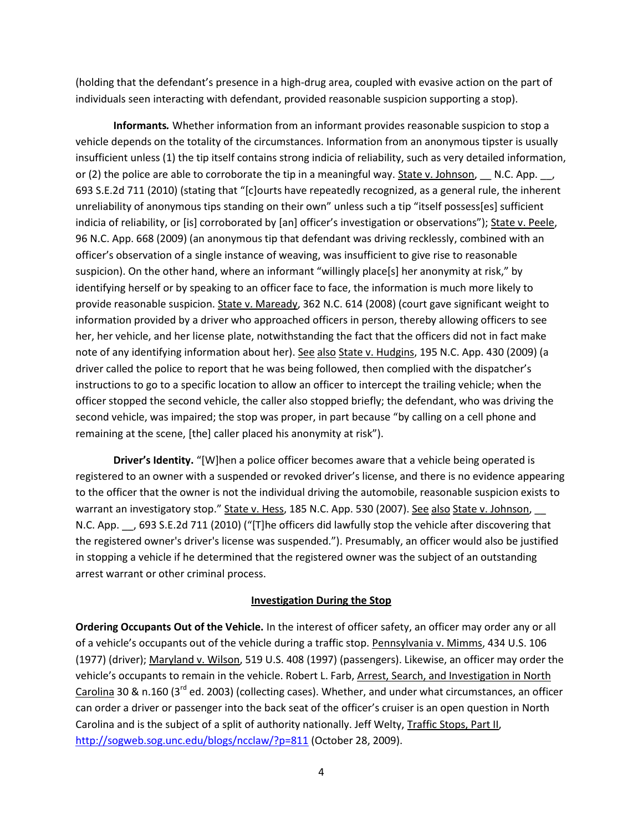(holding that the defendant's presence in a high-drug area, coupled with evasive action on the part of individuals seen interacting with defendant, provided reasonable suspicion supporting a stop).

**Informants***.* Whether information from an informant provides reasonable suspicion to stop a vehicle depends on the totality of the circumstances. Information from an anonymous tipster is usually insufficient unless (1) the tip itself contains strong indicia of reliability, such as very detailed information, or (2) the police are able to corroborate the tip in a meaningful way. State v. Johnson, N.C. App.  $\Box$ , 693 S.E.2d 711 (2010) (stating that "[c]ourts have repeatedly recognized, as a general rule, the inherent unreliability of anonymous tips standing on their own" unless such a tip "itself possess[es] sufficient indicia of reliability, or [is] corroborated by [an] officer's investigation or observations"); State v. Peele, 96 N.C. App. 668 (2009) (an anonymous tip that defendant was driving recklessly, combined with an officer's observation of a single instance of weaving, was insufficient to give rise to reasonable suspicion). On the other hand, where an informant "willingly place[s] her anonymity at risk," by identifying herself or by speaking to an officer face to face, the information is much more likely to provide reasonable suspicion. State v. Maready, 362 N.C. 614 (2008) (court gave significant weight to information provided by a driver who approached officers in person, thereby allowing officers to see her, her vehicle, and her license plate, notwithstanding the fact that the officers did not in fact make note of any identifying information about her). See also State v. Hudgins, 195 N.C. App. 430 (2009) (a driver called the police to report that he was being followed, then complied with the dispatcher's instructions to go to a specific location to allow an officer to intercept the trailing vehicle; when the officer stopped the second vehicle, the caller also stopped briefly; the defendant, who was driving the second vehicle, was impaired; the stop was proper, in part because "by calling on a cell phone and remaining at the scene, [the] caller placed his anonymity at risk").

**Driver's Identity.** "[W]hen a police officer becomes aware that a vehicle being operated is registered to an owner with a suspended or revoked driver's license, and there is no evidence appearing to the officer that the owner is not the individual driving the automobile, reasonable suspicion exists to warrant an investigatory stop." State v. Hess, 185 N.C. App. 530 (2007). See also State v. Johnson, N.C. App. 693 S.E.2d 711 (2010) ("[T]he officers did lawfully stop the vehicle after discovering that the registered owner's driver's license was suspended."). Presumably, an officer would also be justified in stopping a vehicle if he determined that the registered owner was the subject of an outstanding arrest warrant or other criminal process.

#### **Investigation During the Stop**

**Ordering Occupants Out of the Vehicle.** In the interest of officer safety, an officer may order any or all of a vehicle's occupants out of the vehicle during a traffic stop. Pennsylvania v. Mimms, 434 U.S. 106 (1977) (driver); Maryland v. Wilson, 519 U.S. 408 (1997) (passengers). Likewise, an officer may order the vehicle's occupants to remain in the vehicle. Robert L. Farb, Arrest, Search, and Investigation in North Carolina 30 & n.160 ( $3^{rd}$  ed. 2003) (collecting cases). Whether, and under what circumstances, an officer can order a driver or passenger into the back seat of the officer's cruiser is an open question in North Carolina and is the subject of a split of authority nationally. Jeff Welty, Traffic Stops, Part II, <http://sogweb.sog.unc.edu/blogs/ncclaw/?p=811> (October 28, 2009).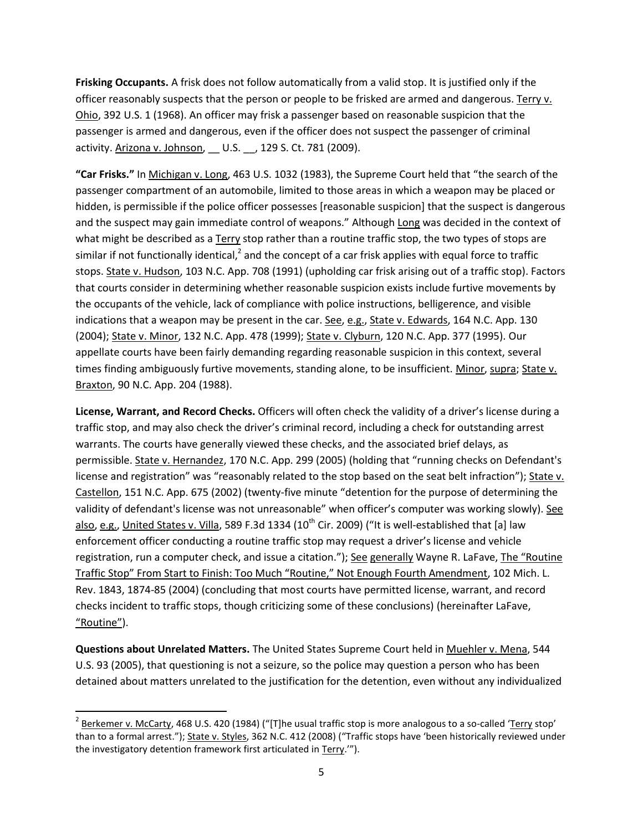**Frisking Occupants.** A frisk does not follow automatically from a valid stop. It is justified only if the officer reasonably suspects that the person or people to be frisked are armed and dangerous. Terry v. Ohio, 392 U.S. 1 (1968). An officer may frisk a passenger based on reasonable suspicion that the passenger is armed and dangerous, even if the officer does not suspect the passenger of criminal activity. Arizona v. Johnson, \_\_ U.S. \_\_, 129 S. Ct. 781 (2009).

**"Car Frisks."** In Michigan v. Long, 463 U.S. 1032 (1983), the Supreme Court held that "the search of the passenger compartment of an automobile, limited to those areas in which a weapon may be placed or hidden, is permissible if the police officer possesses [reasonable suspicion] that the suspect is dangerous and the suspect may gain immediate control of weapons." Although Long was decided in the context of what might be described as a Terry stop rather than a routine traffic stop, the two types of stops are similar if not functionally identical,<sup>2</sup> and the concept of a car frisk applies with equal force to traffic stops. State v. Hudson, 103 N.C. App. 708 (1991) (upholding car frisk arising out of a traffic stop). Factors that courts consider in determining whether reasonable suspicion exists include furtive movements by the occupants of the vehicle, lack of compliance with police instructions, belligerence, and visible indications that a weapon may be present in the car. See, e.g., State v. Edwards, 164 N.C. App. 130 (2004); State v. Minor, 132 N.C. App. 478 (1999); State v. Clyburn, 120 N.C. App. 377 (1995). Our appellate courts have been fairly demanding regarding reasonable suspicion in this context, several times finding ambiguously furtive movements, standing alone, to be insufficient. Minor, supra; State v. Braxton, 90 N.C. App. 204 (1988).

**License, Warrant, and Record Checks.** Officers will often check the validity of a driver's license during a traffic stop, and may also check the driver's criminal record, including a check for outstanding arrest warrants. The courts have generally viewed these checks, and the associated brief delays, as permissible. State v. Hernandez, 170 N.C. App. 299 (2005) (holding that "running checks on Defendant's license and registration" was "reasonably related to the stop based on the seat belt infraction"); State v. Castellon, 151 N.C. App. 675 (2002) (twenty-five minute "detention for the purpose of determining the validity of defendant's license was not unreasonable" when officer's computer was working slowly). See also, e.g., United States v. Villa, 589 F.3d 1334 (10<sup>th</sup> Cir. 2009) ("It is well-established that [a] law enforcement officer conducting a routine traffic stop may request a driver's license and vehicle registration, run a computer check, and issue a citation."); See generally Wayne R. LaFave, The "Routine Traffic Stop" From Start to Finish: Too Much "Routine," Not Enough Fourth Amendment, 102 Mich. L. Rev. 1843, 1874-85 (2004) (concluding that most courts have permitted license, warrant, and record checks incident to traffic stops, though criticizing some of these conclusions) (hereinafter LaFave, "Routine").

**Questions about Unrelated Matters.** The United States Supreme Court held in Muehler v. Mena, 544 U.S. 93 (2005), that questioning is not a seizure, so the police may question a person who has been detained about matters unrelated to the justification for the detention, even without any individualized

 $\overline{\phantom{a}}$ 

 $^2$  Berkemer v. McCarty, 468 U.S. 420 (1984) ("[T]he usual traffic stop is more analogous to a so-called '<u>Terry</u> stop' than to a formal arrest."); State v. Styles, 362 N.C. 412 (2008) ("Traffic stops have 'been historically reviewed under the investigatory detention framework first articulated in Terry.'").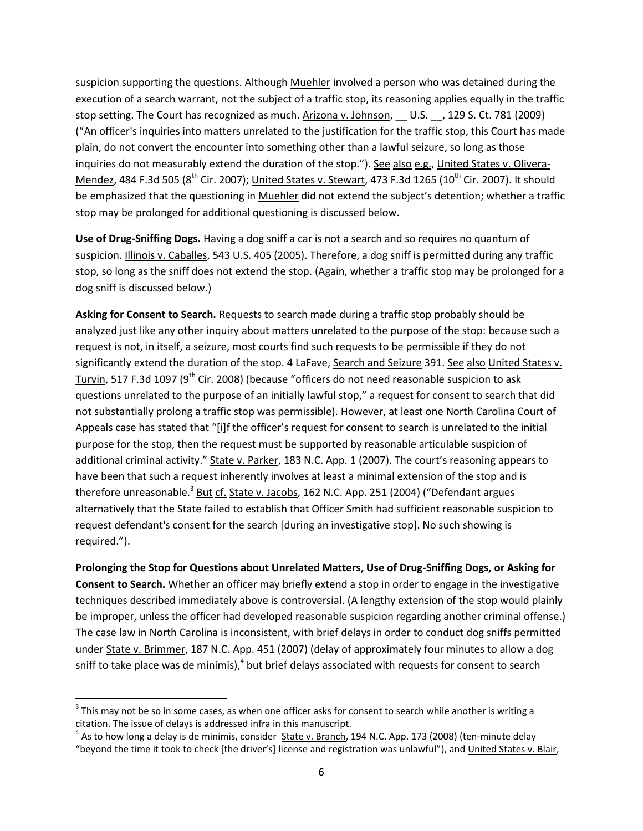suspicion supporting the questions. Although Muehler involved a person who was detained during the execution of a search warrant, not the subject of a traffic stop, its reasoning applies equally in the traffic stop setting. The Court has recognized as much. Arizona v. Johnson, \_\_ U.S. \_\_, 129 S. Ct. 781 (2009) ("An officer's inquiries into matters unrelated to the justification for the traffic stop, this Court has made plain, do not convert the encounter into something other than a lawful seizure, so long as those inquiries do not measurably extend the duration of the stop."). See also e.g., United States v. Olivera-Mendez, 484 F.3d 505 ( $8^{th}$  Cir. 2007); United States v. Stewart, 473 F.3d 1265 (10<sup>th</sup> Cir. 2007). It should be emphasized that the questioning in Muehler did not extend the subject's detention; whether a traffic stop may be prolonged for additional questioning is discussed below.

**Use of Drug-Sniffing Dogs.** Having a dog sniff a car is not a search and so requires no quantum of suspicion. Illinois v. Caballes, 543 U.S. 405 (2005). Therefore, a dog sniff is permitted during any traffic stop, so long as the sniff does not extend the stop. (Again, whether a traffic stop may be prolonged for a dog sniff is discussed below.)

**Asking for Consent to Search.** Requests to search made during a traffic stop probably should be analyzed just like any other inquiry about matters unrelated to the purpose of the stop: because such a request is not, in itself, a seizure, most courts find such requests to be permissible if they do not significantly extend the duration of the stop. 4 LaFave, Search and Seizure 391. See also United States v. Turvin, 517 F.3d 1097 (9<sup>th</sup> Cir. 2008) (because "officers do not need reasonable suspicion to ask questions unrelated to the purpose of an initially lawful stop," a request for consent to search that did not substantially prolong a traffic stop was permissible). However, at least one North Carolina Court of Appeals case has stated that "[i]f the officer's request for consent to search is unrelated to the initial purpose for the stop, then the request must be supported by reasonable articulable suspicion of additional criminal activity." State v. Parker, 183 N.C. App. 1 (2007). The court's reasoning appears to have been that such a request inherently involves at least a minimal extension of the stop and is therefore unreasonable.<sup>3</sup> But cf. State v. Jacobs, 162 N.C. App. 251 (2004) ("Defendant argues alternatively that the State failed to establish that Officer Smith had sufficient reasonable suspicion to request defendant's consent for the search [during an investigative stop]. No such showing is required.").

**Prolonging the Stop for Questions about Unrelated Matters, Use of Drug-Sniffing Dogs, or Asking for Consent to Search.** Whether an officer may briefly extend a stop in order to engage in the investigative techniques described immediately above is controversial. (A lengthy extension of the stop would plainly be improper, unless the officer had developed reasonable suspicion regarding another criminal offense.) The case law in North Carolina is inconsistent, with brief delays in order to conduct dog sniffs permitted under State v. Brimmer, 187 N.C. App. 451 (2007) (delay of approximately four minutes to allow a dog sniff to take place was de minimis), $^4$  but brief delays associated with requests for consent to search

 $\overline{a}$ 

 $3$  This may not be so in some cases, as when one officer asks for consent to search while another is writing a citation. The issue of delays is addressed infra in this manuscript.

<sup>&</sup>lt;sup>4</sup> As to how long a delay is de minimis, consider State v. Branch, 194 N.C. App. 173 (2008) (ten-minute delay "beyond the time it took to check [the driver's] license and registration was unlawful"), and United States v. Blair,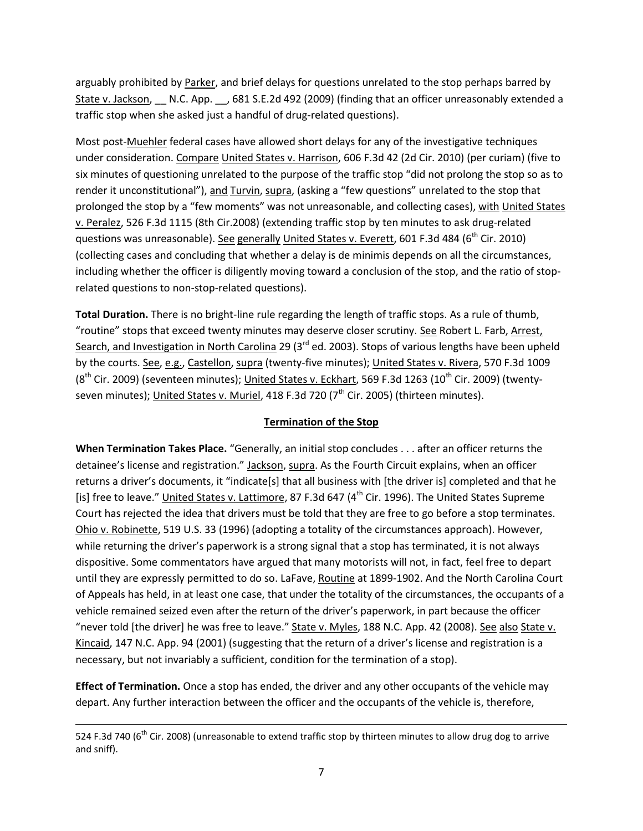arguably prohibited by Parker, and brief delays for questions unrelated to the stop perhaps barred by State v. Jackson, 
\_\_ N.C. App. 
..., 681 S.E.2d 492 (2009) (finding that an officer unreasonably extended a traffic stop when she asked just a handful of drug-related questions).

Most post-Muehler federal cases have allowed short delays for any of the investigative techniques under consideration. Compare United States v. Harrison, 606 F.3d 42 (2d Cir. 2010) (per curiam) (five to six minutes of questioning unrelated to the purpose of the traffic stop "did not prolong the stop so as to render it unconstitutional"), and Turvin, supra, (asking a "few questions" unrelated to the stop that prolonged the stop by a "few moments" was not unreasonable, and collecting cases), with United States v. Peralez, 526 F.3d 1115 (8th Cir.2008) (extending traffic stop by ten minutes to ask drug-related questions was unreasonable). See generally United States v. Everett, 601 F.3d 484 ( $6<sup>th</sup>$  Cir. 2010) (collecting cases and concluding that whether a delay is de minimis depends on all the circumstances, including whether the officer is diligently moving toward a conclusion of the stop, and the ratio of stoprelated questions to non-stop-related questions).

**Total Duration.** There is no bright-line rule regarding the length of traffic stops. As a rule of thumb, "routine" stops that exceed twenty minutes may deserve closer scrutiny. See Robert L. Farb, Arrest, Search, and Investigation in North Carolina 29 (3<sup>rd</sup> ed. 2003). Stops of various lengths have been upheld by the courts. See, e.g., Castellon, supra (twenty-five minutes); United States v. Rivera, 570 F.3d 1009  $(8<sup>th</sup>$  Cir. 2009) (seventeen minutes); United States v. Eckhart, 569 F.3d 1263 (10<sup>th</sup> Cir. 2009) (twentyseven minutes); United States v. Muriel, 418 F.3d 720 ( $7<sup>th</sup>$  Cir. 2005) (thirteen minutes).

# **Termination of the Stop**

**When Termination Takes Place.** "Generally, an initial stop concludes . . . after an officer returns the detainee's license and registration." Jackson, supra. As the Fourth Circuit explains, when an officer returns a driver's documents, it "indicate[s] that all business with [the driver is] completed and that he [is] free to leave." United States v. Lattimore, 87 F.3d 647 (4<sup>th</sup> Cir. 1996). The United States Supreme Court has rejected the idea that drivers must be told that they are free to go before a stop terminates. Ohio v. Robinette, 519 U.S. 33 (1996) (adopting a totality of the circumstances approach). However, while returning the driver's paperwork is a strong signal that a stop has terminated, it is not always dispositive. Some commentators have argued that many motorists will not, in fact, feel free to depart until they are expressly permitted to do so. LaFave, Routine at 1899-1902. And the North Carolina Court of Appeals has held, in at least one case, that under the totality of the circumstances, the occupants of a vehicle remained seized even after the return of the driver's paperwork, in part because the officer "never told [the driver] he was free to leave." State v. Myles, 188 N.C. App. 42 (2008). See also State v. Kincaid, 147 N.C. App. 94 (2001) (suggesting that the return of a driver's license and registration is a necessary, but not invariably a sufficient, condition for the termination of a stop).

**Effect of Termination.** Once a stop has ended, the driver and any other occupants of the vehicle may depart. Any further interaction between the officer and the occupants of the vehicle is, therefore,

l

<sup>524</sup> F.3d 740 (6<sup>th</sup> Cir. 2008) (unreasonable to extend traffic stop by thirteen minutes to allow drug dog to arrive and sniff).